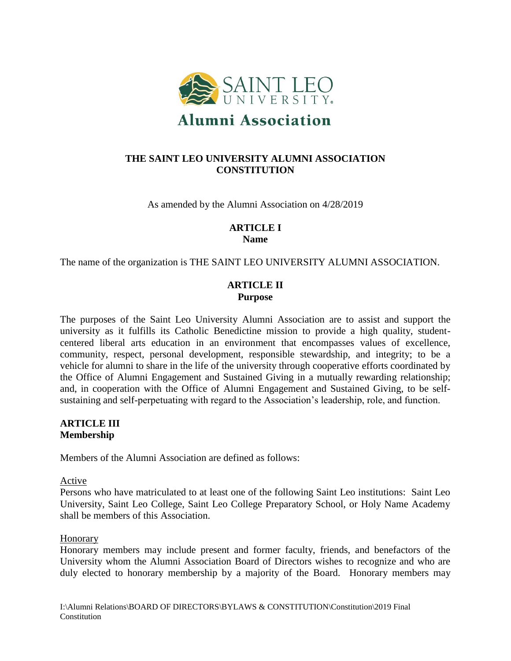

# **THE SAINT LEO UNIVERSITY ALUMNI ASSOCIATION CONSTITUTION**

As amended by the Alumni Association on 4/28/2019

## **ARTICLE I Name**

The name of the organization is THE SAINT LEO UNIVERSITY ALUMNI ASSOCIATION.

## **ARTICLE II Purpose**

The purposes of the Saint Leo University Alumni Association are to assist and support the university as it fulfills its Catholic Benedictine mission to provide a high quality, studentcentered liberal arts education in an environment that encompasses values of excellence, community, respect, personal development, responsible stewardship, and integrity; to be a vehicle for alumni to share in the life of the university through cooperative efforts coordinated by the Office of Alumni Engagement and Sustained Giving in a mutually rewarding relationship; and, in cooperation with the Office of Alumni Engagement and Sustained Giving, to be selfsustaining and self-perpetuating with regard to the Association's leadership, role, and function.

## **ARTICLE III Membership**

Members of the Alumni Association are defined as follows:

## Active

Persons who have matriculated to at least one of the following Saint Leo institutions: Saint Leo University, Saint Leo College, Saint Leo College Preparatory School, or Holy Name Academy shall be members of this Association.

## Honorary

Honorary members may include present and former faculty, friends, and benefactors of the University whom the Alumni Association Board of Directors wishes to recognize and who are duly elected to honorary membership by a majority of the Board. Honorary members may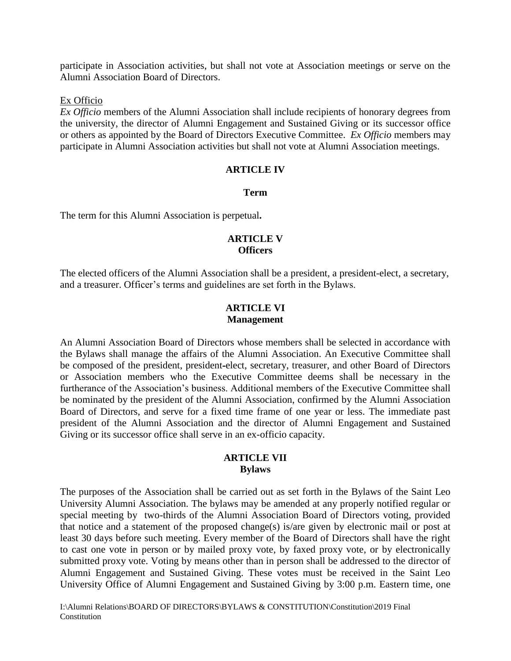participate in Association activities, but shall not vote at Association meetings or serve on the Alumni Association Board of Directors.

#### Ex Officio

*Ex Officio* members of the Alumni Association shall include recipients of honorary degrees from the university, the director of Alumni Engagement and Sustained Giving or its successor office or others as appointed by the Board of Directors Executive Committee. *Ex Officio* members may participate in Alumni Association activities but shall not vote at Alumni Association meetings.

#### **ARTICLE IV**

#### **Term**

The term for this Alumni Association is perpetual**.**

## **ARTICLE V Officers**

The elected officers of the Alumni Association shall be a president, a president-elect, a secretary, and a treasurer. Officer's terms and guidelines are set forth in the Bylaws.

#### **ARTICLE VI Management**

An Alumni Association Board of Directors whose members shall be selected in accordance with the Bylaws shall manage the affairs of the Alumni Association. An Executive Committee shall be composed of the president, president-elect, secretary, treasurer, and other Board of Directors or Association members who the Executive Committee deems shall be necessary in the furtherance of the Association's business. Additional members of the Executive Committee shall be nominated by the president of the Alumni Association, confirmed by the Alumni Association Board of Directors, and serve for a fixed time frame of one year or less. The immediate past president of the Alumni Association and the director of Alumni Engagement and Sustained Giving or its successor office shall serve in an ex-officio capacity.

### **ARTICLE VII Bylaws**

The purposes of the Association shall be carried out as set forth in the Bylaws of the Saint Leo University Alumni Association. The bylaws may be amended at any properly notified regular or special meeting by two-thirds of the Alumni Association Board of Directors voting, provided that notice and a statement of the proposed change(s) is/are given by electronic mail or post at least 30 days before such meeting. Every member of the Board of Directors shall have the right to cast one vote in person or by mailed proxy vote, by faxed proxy vote, or by electronically submitted proxy vote. Voting by means other than in person shall be addressed to the director of Alumni Engagement and Sustained Giving. These votes must be received in the Saint Leo University Office of Alumni Engagement and Sustained Giving by 3:00 p.m. Eastern time, one